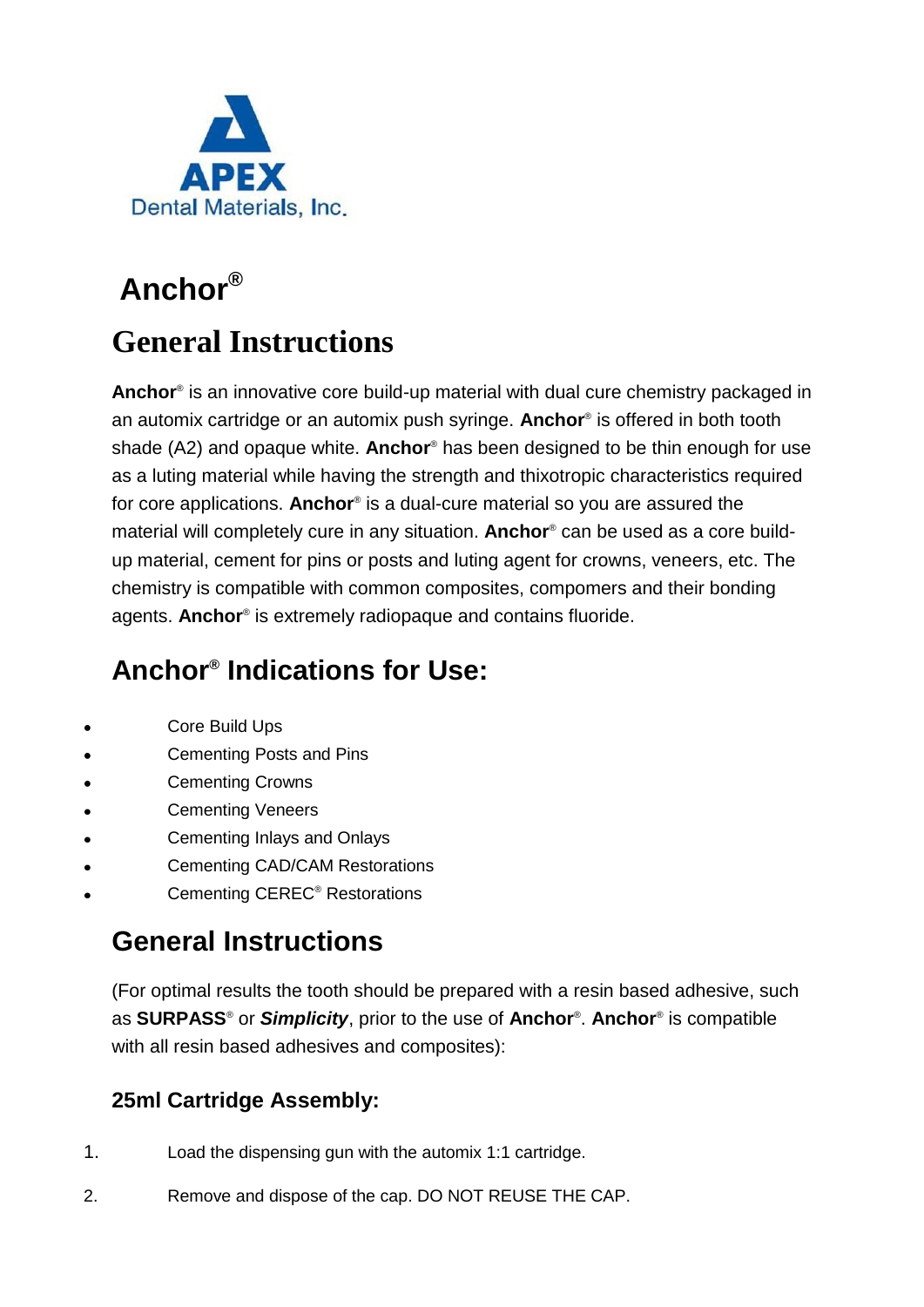

# **Anchor®**

# **General Instructions**

**Anchor**® is an innovative core build-up material with dual cure chemistry packaged in an automix cartridge or an automix push syringe. **Anchor**® is offered in both tooth shade (A2) and opaque white. **Anchor**® has been designed to be thin enough for use as a luting material while having the strength and thixotropic characteristics required for core applications. **Anchor**® is a dual-cure material so you are assured the material will completely cure in any situation. **Anchor**® can be used as a core buildup material, cement for pins or posts and luting agent for crowns, veneers, etc. The chemistry is compatible with common composites, compomers and their bonding agents. **Anchor**® is extremely radiopaque and contains fluoride.

### **Anchor® Indications for Use:**

- Core Build Ups
- Cementing Posts and Pins
- Cementing Crowns
- Cementing Veneers
- Cementing Inlays and Onlays
- Cementing CAD/CAM Restorations
- Cementing CEREC® Restorations

### **General Instructions**

(For optimal results the tooth should be prepared with a resin based adhesive, such as **SURPASS**® or *Simplicity*, prior to the use of **Anchor**® . **Anchor**® is compatible with all resin based adhesives and composites):

#### **25ml Cartridge Assembly:**

- 1. Load the dispensing gun with the automix 1:1 cartridge.
- 2. Remove and dispose of the cap. DO NOT REUSE THE CAP.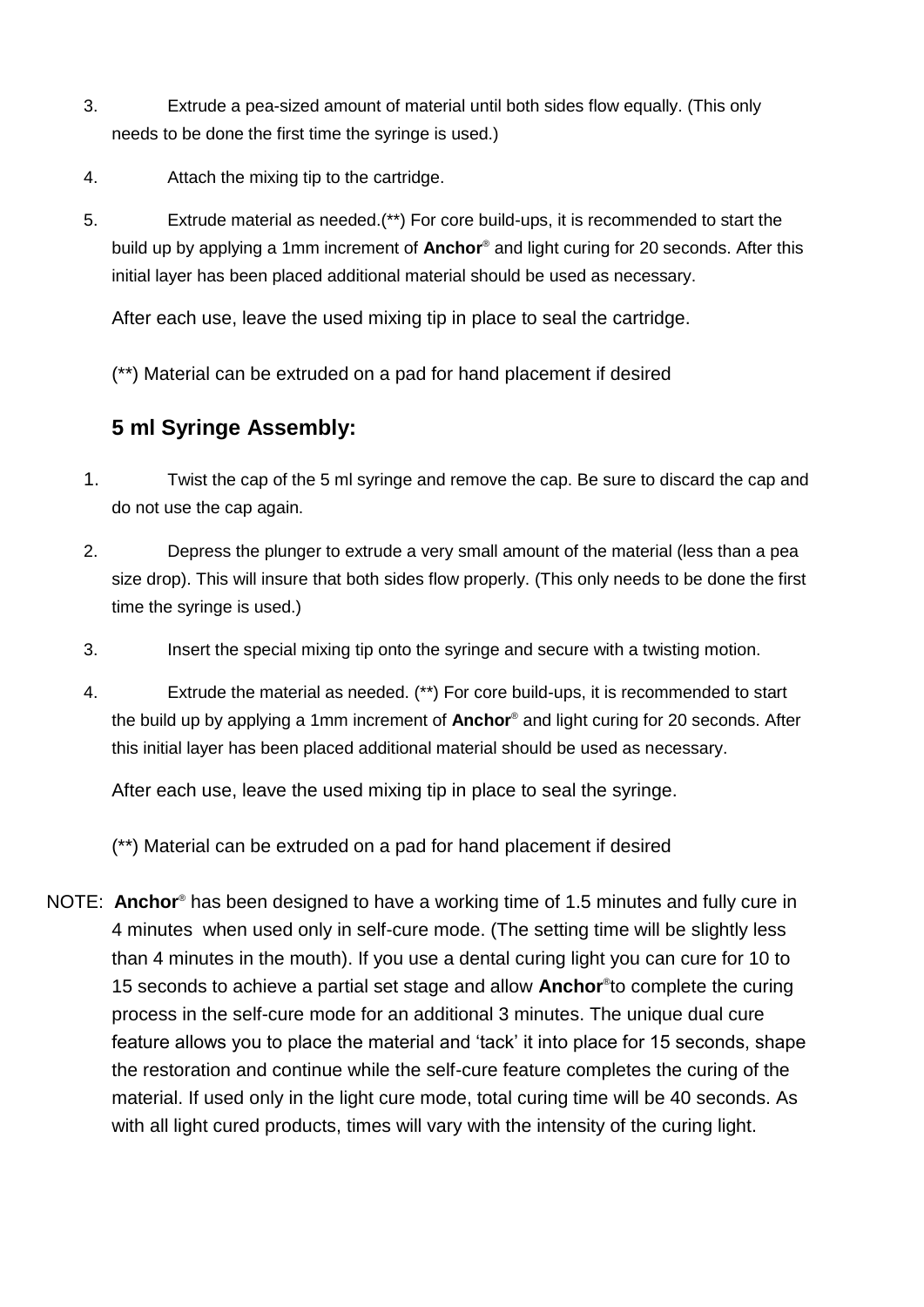- 3. Extrude a pea-sized amount of material until both sides flow equally. (This only needs to be done the first time the syringe is used.)
- 4. Attach the mixing tip to the cartridge.
- 5. Extrude material as needed.(\*\*) For core build-ups, it is recommended to start the build up by applying a 1mm increment of **Anchor**® and light curing for 20 seconds. After this initial layer has been placed additional material should be used as necessary.

After each use, leave the used mixing tip in place to seal the cartridge.

(\*\*) Material can be extruded on a pad for hand placement if desired

#### **5 ml Syringe Assembly:**

- 1. Twist the cap of the 5 ml syringe and remove the cap. Be sure to discard the cap and do not use the cap again.
- 2. Depress the plunger to extrude a very small amount of the material (less than a pea size drop). This will insure that both sides flow properly. (This only needs to be done the first time the syringe is used.)
- 3. Insert the special mixing tip onto the syringe and secure with a twisting motion.
- 4. Extrude the material as needed. (\*\*) For core build-ups, it is recommended to start the build up by applying a 1mm increment of **Anchor**® and light curing for 20 seconds. After this initial layer has been placed additional material should be used as necessary.

After each use, leave the used mixing tip in place to seal the syringe.

(\*\*) Material can be extruded on a pad for hand placement if desired

NOTE: **Anchor**® has been designed to have a working time of 1.5 minutes and fully cure in 4 minutes when used only in self-cure mode. (The setting time will be slightly less than 4 minutes in the mouth). If you use a dental curing light you can cure for 10 to 15 seconds to achieve a partial set stage and allow **Anchor**® to complete the curing process in the self-cure mode for an additional 3 minutes. The unique dual cure feature allows you to place the material and 'tack' it into place for 15 seconds, shape the restoration and continue while the self-cure feature completes the curing of the material. If used only in the light cure mode, total curing time will be 40 seconds. As with all light cured products, times will vary with the intensity of the curing light.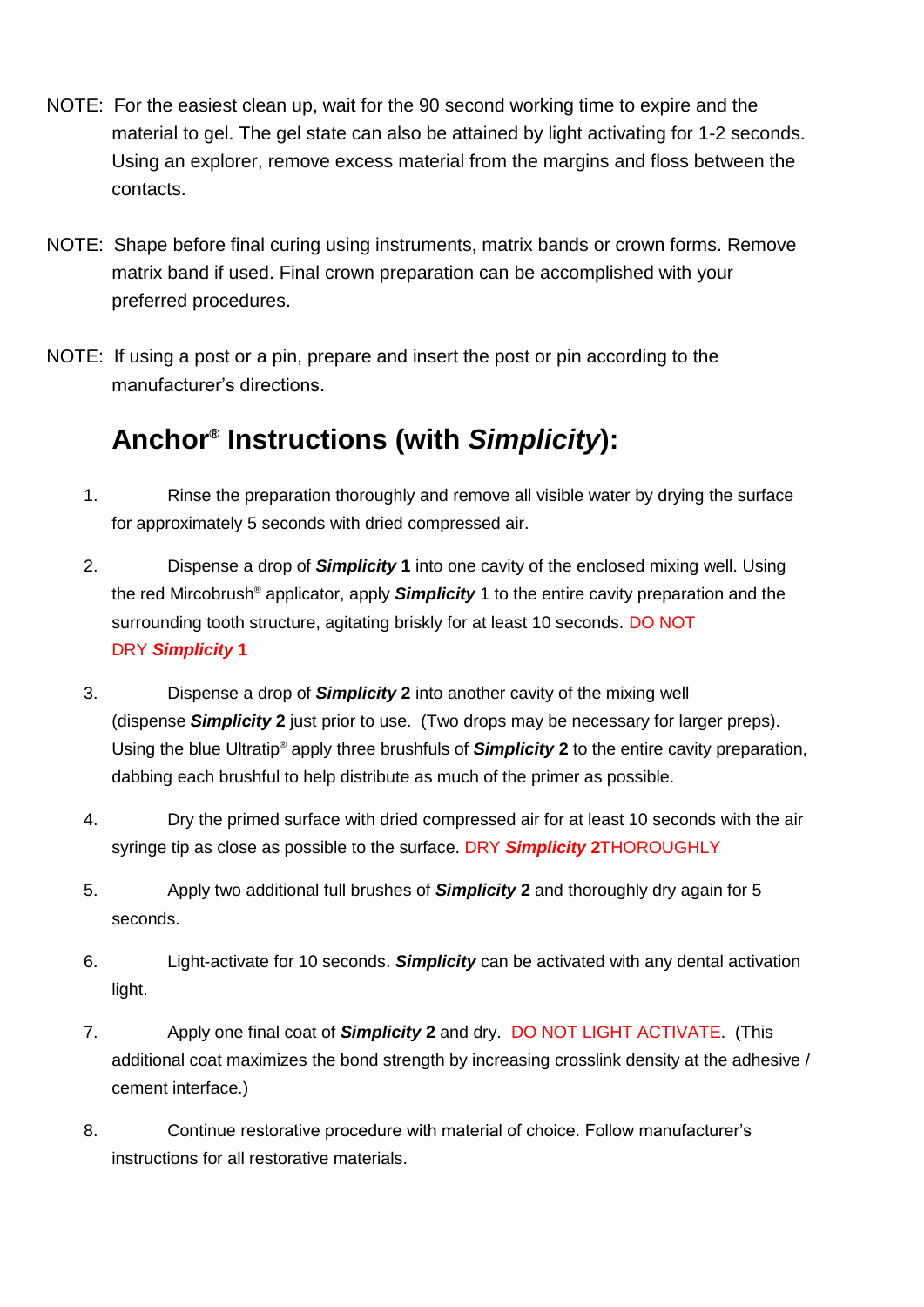- NOTE: For the easiest clean up, wait for the 90 second working time to expire and the material to gel. The gel state can also be attained by light activating for 1-2 seconds. Using an explorer, remove excess material from the margins and floss between the contacts.
- NOTE: Shape before final curing using instruments, matrix bands or crown forms. Remove matrix band if used. Final crown preparation can be accomplished with your preferred procedures.
- NOTE: If using a post or a pin, prepare and insert the post or pin according to the manufacturer's directions.

### **Anchor® Instructions (with** *Simplicity***):**

- 1. Rinse the preparation thoroughly and remove all visible water by drying the surface for approximately 5 seconds with dried compressed air.
- 2. Dispense a drop of *Simplicity* **1** into one cavity of the enclosed mixing well. Using the red Mircobrush® applicator, apply *Simplicity* 1 to the entire cavity preparation and the surrounding tooth structure, agitating briskly for at least 10 seconds. DO NOT DRY *Simplicity* **1**
- 3. Dispense a drop of *Simplicity* **2** into another cavity of the mixing well (dispense *Simplicity* **2** just prior to use. (Two drops may be necessary for larger preps). Using the blue Ultratip® apply three brushfuls of *Simplicity* **2** to the entire cavity preparation, dabbing each brushful to help distribute as much of the primer as possible.
- 4. Dry the primed surface with dried compressed air for at least 10 seconds with the air syringe tip as close as possible to the surface. DRY *Simplicity* **2**THOROUGHLY
- 5. Apply two additional full brushes of *Simplicity* **2** and thoroughly dry again for 5 seconds.
- 6. Light-activate for 10 seconds. *Simplicity* can be activated with any dental activation light.
- 7. Apply one final coat of *Simplicity* **2** and dry. DO NOT LIGHT ACTIVATE. (This additional coat maximizes the bond strength by increasing crosslink density at the adhesive / cement interface.)
- 8. Continue restorative procedure with material of choice. Follow manufacturer's instructions for all restorative materials.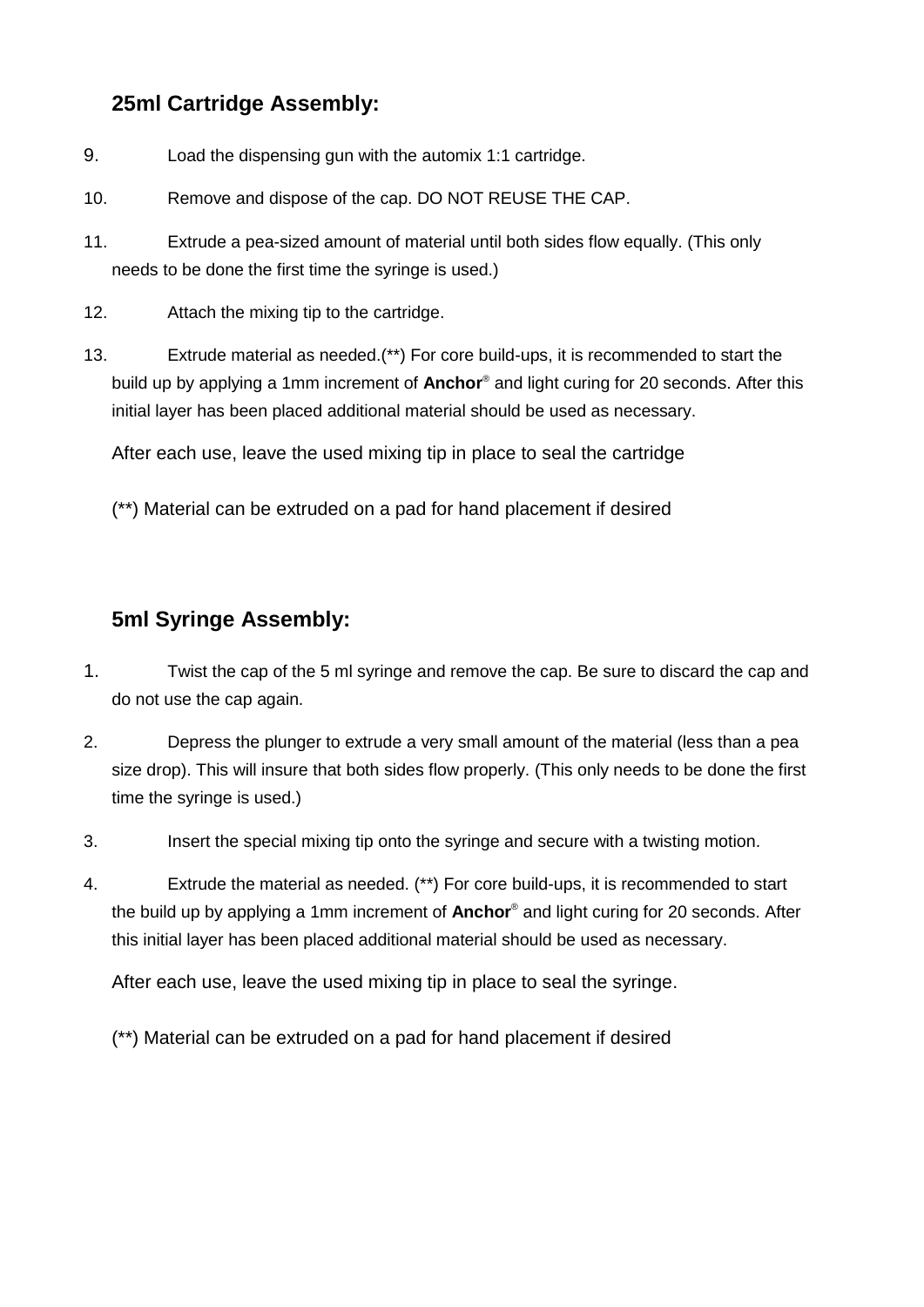#### **25ml Cartridge Assembly:**

- 9. Load the dispensing gun with the automix 1:1 cartridge.
- 10. Remove and dispose of the cap. DO NOT REUSE THE CAP.
- 11. Extrude a pea-sized amount of material until both sides flow equally. (This only needs to be done the first time the syringe is used.)
- 12. Attach the mixing tip to the cartridge.
- 13. Extrude material as needed.(\*\*) For core build-ups, it is recommended to start the build up by applying a 1mm increment of **Anchor**® and light curing for 20 seconds. After this initial layer has been placed additional material should be used as necessary.

After each use, leave the used mixing tip in place to seal the cartridge

(\*\*) Material can be extruded on a pad for hand placement if desired

### **5ml Syringe Assembly:**

- 1. Twist the cap of the 5 ml syringe and remove the cap. Be sure to discard the cap and do not use the cap again.
- 2. Depress the plunger to extrude a very small amount of the material (less than a pea size drop). This will insure that both sides flow properly. (This only needs to be done the first time the syringe is used.)
- 3. Insert the special mixing tip onto the syringe and secure with a twisting motion.
- 4. Extrude the material as needed. (\*\*) For core build-ups, it is recommended to start the build up by applying a 1mm increment of **Anchor**® and light curing for 20 seconds. After this initial layer has been placed additional material should be used as necessary.

After each use, leave the used mixing tip in place to seal the syringe.

(\*\*) Material can be extruded on a pad for hand placement if desired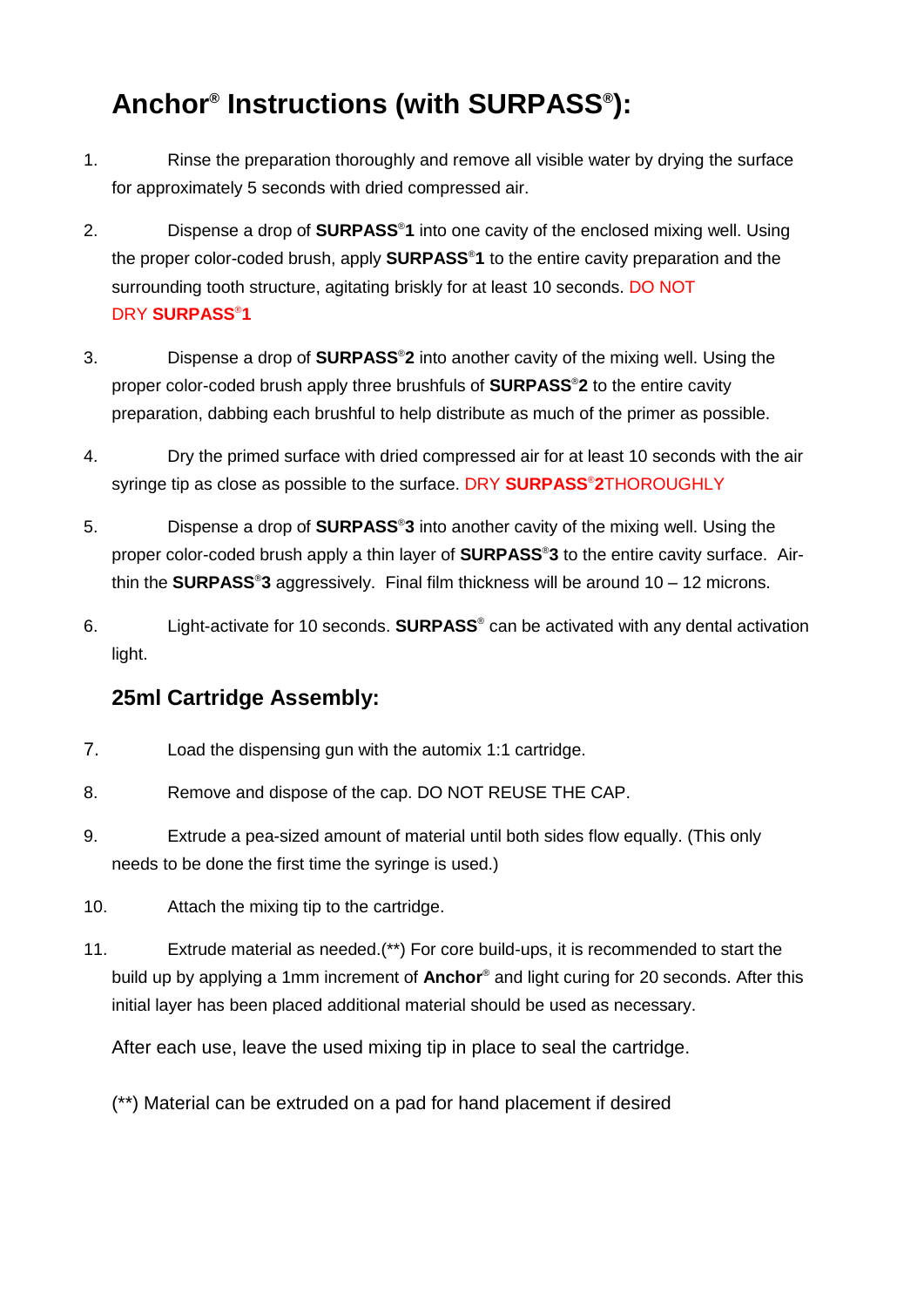## **Anchor® Instructions (with SURPASS® ):**

- 1. Rinse the preparation thoroughly and remove all visible water by drying the surface for approximately 5 seconds with dried compressed air.
- 2. Dispense a drop of **SURPASS**®**1** into one cavity of the enclosed mixing well. Using the proper color-coded brush, apply **SURPASS**®**1** to the entire cavity preparation and the surrounding tooth structure, agitating briskly for at least 10 seconds. DO NOT DRY **SURPASS**®**1**
- 3. Dispense a drop of **SURPASS**®**2** into another cavity of the mixing well. Using the proper color-coded brush apply three brushfuls of **SURPASS**®**2** to the entire cavity preparation, dabbing each brushful to help distribute as much of the primer as possible.
- 4. Dry the primed surface with dried compressed air for at least 10 seconds with the air syringe tip as close as possible to the surface. DRY **SURPASS**®**2**THOROUGHLY
- 5. Dispense a drop of **SURPASS**®**3** into another cavity of the mixing well. Using the proper color-coded brush apply a thin layer of **SURPASS**®**3** to the entire cavity surface. Airthin the **SURPASS**®**3** aggressively. Final film thickness will be around 10 – 12 microns.
- 6. Light-activate for 10 seconds. **SURPASS**® can be activated with any dental activation light.

### **25ml Cartridge Assembly:**

- 7. Load the dispensing gun with the automix 1:1 cartridge.
- 8. Remove and dispose of the cap. DO NOT REUSE THE CAP.
- 9. Extrude a pea-sized amount of material until both sides flow equally. (This only needs to be done the first time the syringe is used.)
- 10. Attach the mixing tip to the cartridge.
- 11. Extrude material as needed.(\*\*) For core build-ups, it is recommended to start the build up by applying a 1mm increment of **Anchor**® and light curing for 20 seconds. After this initial layer has been placed additional material should be used as necessary.

After each use, leave the used mixing tip in place to seal the cartridge.

(\*\*) Material can be extruded on a pad for hand placement if desired